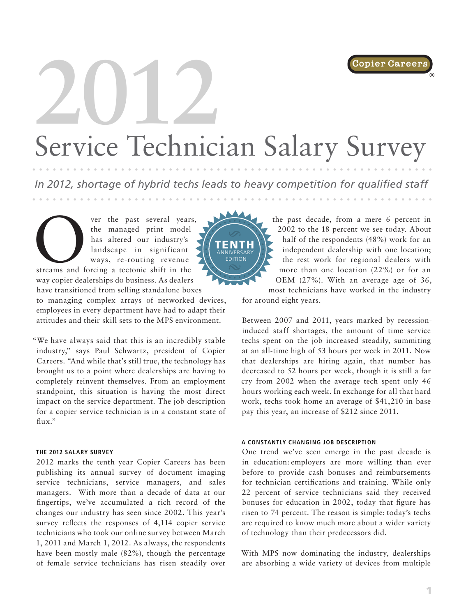Copier Career

®

# **2012** Service Technician Salary Survey

*In 2012, shortage of hybrid techs leads to heavy competition for qualified staff*

ver the past several years,<br>
the managed print model<br>
has altered our industry's<br>
landscape in significant<br>
ways, re-routing revenue<br>
streams and forcing a tectonic shift in the the managed print model has altered our industry's landscape in significant ways, re-routing revenue

way copier dealerships do business. As dealers have transitioned from selling standalone boxes

to managing complex arrays of networked devices, employees in every department have had to adapt their attitudes and their skill sets to the MPS environment.

"We have always said that this is an incredibly stable industry," says Paul Schwartz, president of Copier Careers. "And while that's still true, the technology has brought us to a point where dealerships are having to completely reinvent themselves. From an employment standpoint, this situation is having the most direct impact on the service department. The job description for a copier service technician is in a constant state of flux."

#### **THE 2012 SALARY SURVEY**

2012 marks the tenth year Copier Careers has been publishing its annual survey of document imaging service technicians, service managers, and sales managers. With more than a decade of data at our fingertips, we've accumulated a rich record of the changes our industry has seen since 2002. This year's survey reflects the responses of 4,114 copier service technicians who took our online survey between March 1, 2011 and March 1, 2012. As always, the respondents have been mostly male (82%), though the percentage of female service technicians has risen steadily over



the past decade, from a mere 6 percent in 2002 to the 18 percent we see today. About half of the respondents (48%) work for an independent dealership with one location; the rest work for regional dealers with more than one location (22%) or for an OEM (27%). With an average age of 36,

most technicians have worked in the industry for around eight years.

Between 2007 and 2011, years marked by recessioninduced staff shortages, the amount of time service techs spent on the job increased steadily, summiting at an all-time high of 53 hours per week in 2011. Now that dealerships are hiring again, that number has decreased to 52 hours per week, though it is still a far cry from 2002 when the average tech spent only 46 hours working each week. In exchange for all that hard work, techs took home an average of \$41,210 in base pay this year, an increase of \$212 since 2011.

#### **A CONSTANTLY CHANGING JOB DESCRIPTION**

One trend we've seen emerge in the past decade is in education: employers are more willing than ever before to provide cash bonuses and reimbursements for technician certifications and training. While only 22 percent of service technicians said they received bonuses for education in 2002, today that figure has risen to 74 percent. The reason is simple: today's techs are required to know much more about a wider variety of technology than their predecessors did.

With MPS now dominating the industry, dealerships are absorbing a wide variety of devices from multiple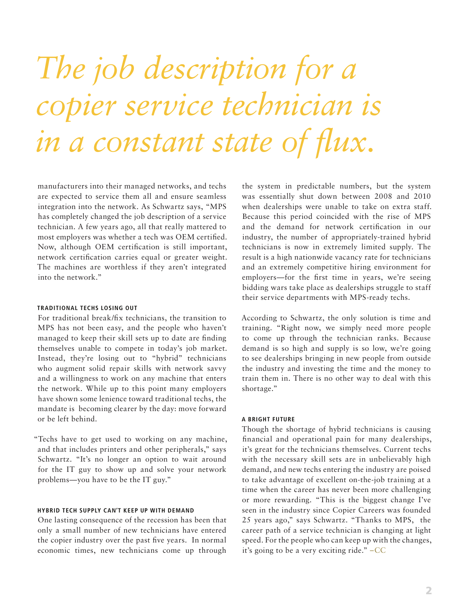## *The job description for a copier service technician is in a constant state of flux.*

manufacturers into their managed networks, and techs are expected to service them all and ensure seamless integration into the network. As Schwartz says, "MPS has completely changed the job description of a service technician. A few years ago, all that really mattered to most employers was whether a tech was OEM certified. Now, although OEM certification is still important, network certification carries equal or greater weight. The machines are worthless if they aren't integrated into the network."

#### **TRADITIONAL TECHS LOSING OUT**

For traditional break/fix technicians, the transition to MPS has not been easy, and the people who haven't managed to keep their skill sets up to date are finding themselves unable to compete in today's job market. Instead, they're losing out to "hybrid" technicians who augment solid repair skills with network savvy and a willingness to work on any machine that enters the network. While up to this point many employers have shown some lenience toward traditional techs, the mandate is becoming clearer by the day: move forward or be left behind.

"Techs have to get used to working on any machine, and that includes printers and other peripherals," says Schwartz. "It's no longer an option to wait around for the IT guy to show up and solve your network problems—you have to be the IT guy."

#### **HYBRID TECH SUPPLY CAN'T KEEP UP WITH DEMAND**

One lasting consequence of the recession has been that only a small number of new technicians have entered the copier industry over the past five years. In normal economic times, new technicians come up through

the system in predictable numbers, but the system was essentially shut down between 2008 and 2010 when dealerships were unable to take on extra staff. Because this period coincided with the rise of MPS and the demand for network certification in our industry, the number of appropriately-trained hybrid technicians is now in extremely limited supply. The result is a high nationwide vacancy rate for technicians and an extremely competitive hiring environment for employers—for the first time in years, we're seeing bidding wars take place as dealerships struggle to staff their service departments with MPS-ready techs.

According to Schwartz, the only solution is time and training. "Right now, we simply need more people to come up through the technician ranks. Because demand is so high and supply is so low, we're going to see dealerships bringing in new people from outside the industry and investing the time and the money to train them in. There is no other way to deal with this shortage."

#### **A BRIGHT FUTURE**

Though the shortage of hybrid technicians is causing financial and operational pain for many dealerships, it's great for the technicians themselves. Current techs with the necessary skill sets are in unbelievably high demand, and new techs entering the industry are poised to take advantage of excellent on-the-job training at a time when the career has never been more challenging or more rewarding. "This is the biggest change I've seen in the industry since Copier Careers was founded 25 years ago," says Schwartz. "Thanks to MPS, the career path of a service technician is changing at light speed. For the people who can keep up with the changes, it's going to be a very exciting ride." –CC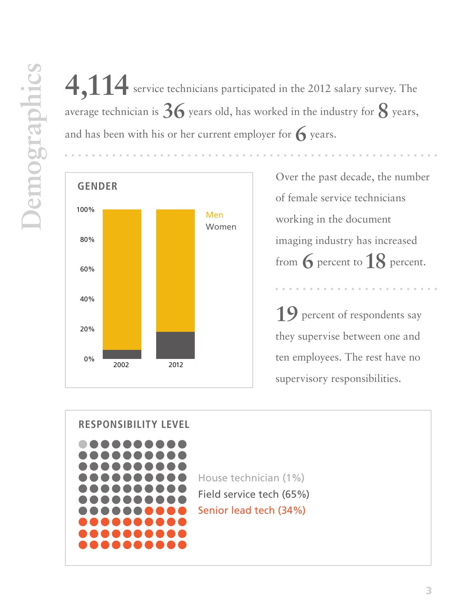4,114 service technicians participated in the 2012 salary survey. The average technician is  $36$  years old, has worked in the industry for  $8$  years, and has been with his or her current employer for  $\bigcap$  years.



of female service technicians working in the document imaging industry has increased from **6** percent to **18** percent.

**19** percent of respondents say they supervise between one and ten employees. The rest have no supervisory responsibilities.

## **RESPONSIBILITY LEVEL**



House technician (1%) Field service tech (65%) Senior lead tech (34%)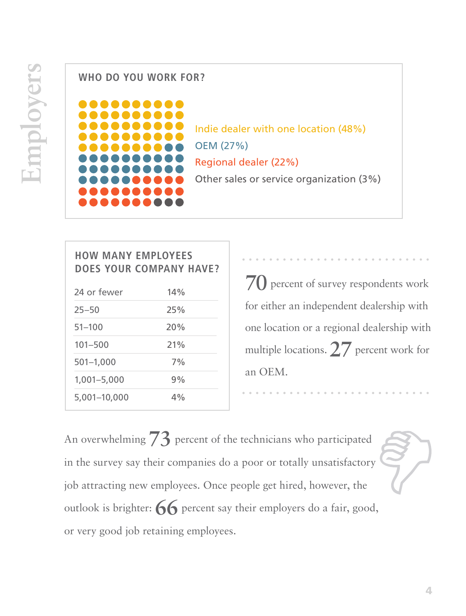## **WHO DO YOU WORK FOR?**



Indie dealer with one location (48%) OEM (27%) Regional dealer (22%) Other sales or service organization (3%)

## **HOW MANY EMPLOYEES DOES YOUR COMPANY HAVE?**

| 24 or fewer   | 14% |
|---------------|-----|
| $25 - 50$     | 25% |
| $51 - 100$    | 20% |
| $101 - 500$   | 21% |
| $501 - 1,000$ | 7%  |
| 1,001-5,000   | 9%  |
| 5,001-10,000  | 4%  |

**70** percent of survey respondents work for either an independent dealership with one location or a regional dealership with multiple locations. **27** percent work for an OEM.

An overwhelming **73** percent of the technicians who participated in the survey say their companies do a poor or totally unsatisfactory job attracting new employees. Once people get hired, however, the outlook is brighter: **66** percent say their employers do a fair, good, or very good job retaining employees.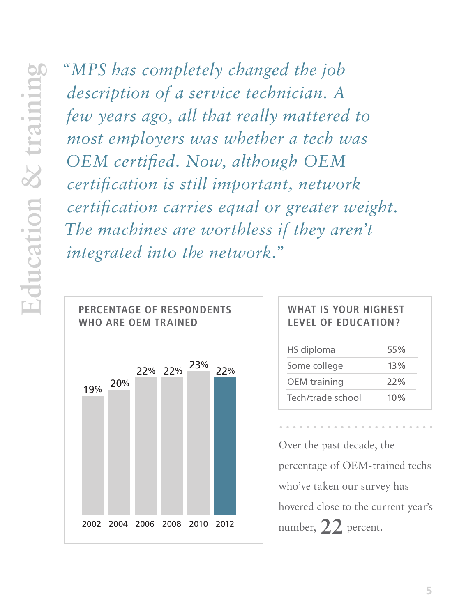*"MPS has completely changed the job description of a service technician. A few years ago, all that really mattered to most employers was whether a tech was OEM certified. Now, although OEM certification is still important, network certification carries equal or greater weight. The machines are worthless if they aren't integrated into the network."*



## **WHAT IS YOUR HIGHEST LEVEL OF EDUCATION?**

| HS diploma          | 55% |
|---------------------|-----|
| Some college        | 13% |
| <b>OEM</b> training | 22% |
| Tech/trade school   | 10% |

Over the past decade, the percentage of OEM-trained techs who've taken our survey has hovered close to the current year's number, **22** percent.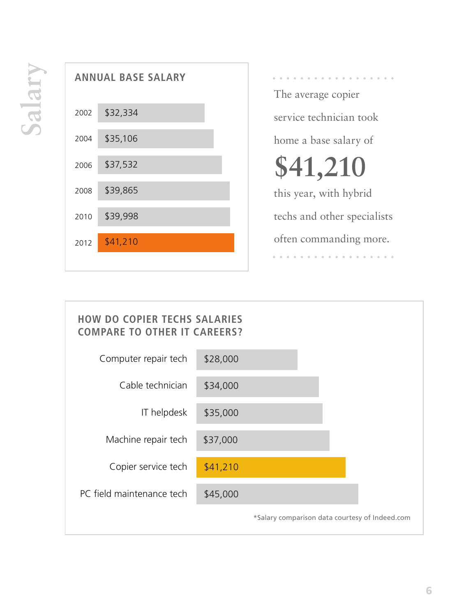

The average copier service technician took home a base salary of **\$41,210** this year, with hybrid techs and other specialists

often commanding more.

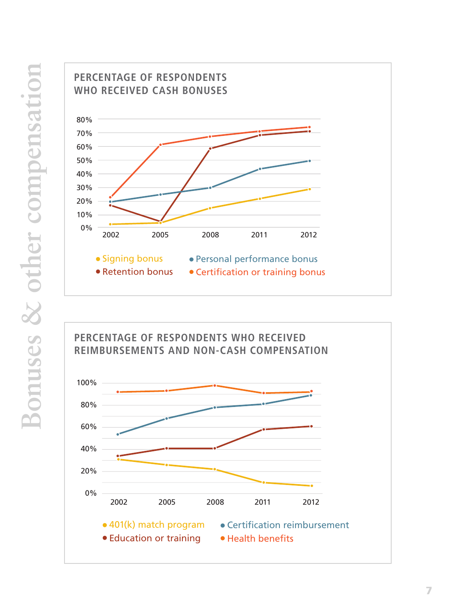



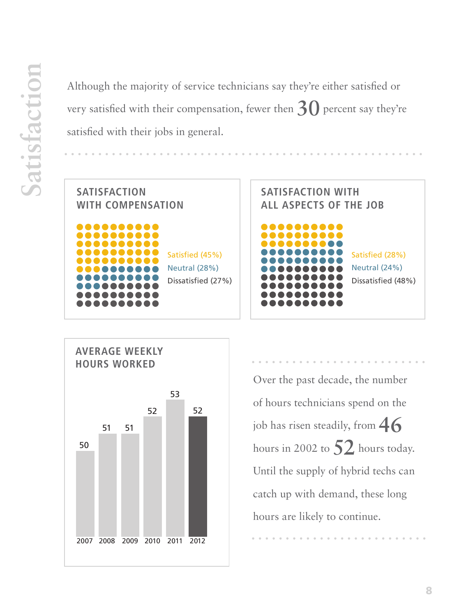Although the majority of service technicians say they're either satisfied or very satisfied with their compensation, fewer then **30** percent say they're satisfied with their jobs in general.







Over the past decade, the number of hours technicians spend on the job has risen steadily, from **46** hours in 2002 to **52** hours today. Until the supply of hybrid techs can catch up with demand, these long hours are likely to continue.